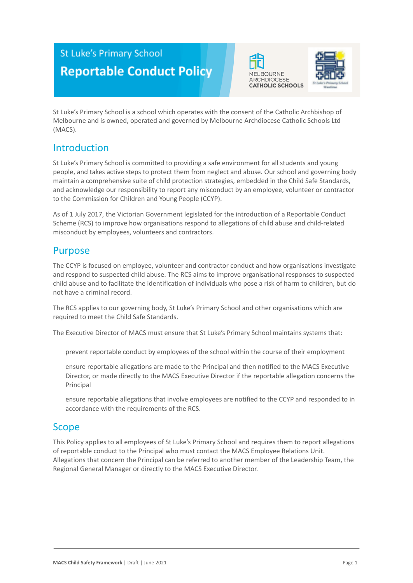# **St Luke's Primary School Reportable Conduct Policy**





St Luke's Primary School is a school which operates with the consent of the Catholic Archbishop of Melbourne and is owned, operated and governed by Melbourne Archdiocese Catholic Schools Ltd (MACS).

## Introduction

St Luke's Primary School is committed to providing a safe environment for all students and young people, and takes active steps to protect them from neglect and abuse. Our school and governing body maintain a comprehensive suite of child protection strategies, embedded in the Child Safe Standards, and acknowledge our responsibility to report any misconduct by an employee, volunteer or contractor to the Commission for Children and Young People (CCYP).

As of 1 July 2017, the Victorian Government legislated for the introduction of a Reportable Conduct Scheme (RCS) to improve how organisations respond to allegations of child abuse and child-related misconduct by employees, volunteers and contractors.

## Purpose

The CCYP is focused on employee, volunteer and contractor conduct and how organisations investigate and respond to suspected child abuse. The RCS aims to improve organisational responses to suspected child abuse and to facilitate the identification of individuals who pose a risk of harm to children, but do not have a criminal record.

The RCS applies to our governing body, St Luke's Primary School and other organisations which are required to meet the Child Safe Standards.

The Executive Director of MACS must ensure that St Luke's Primary School maintains systems that:

prevent reportable conduct by employees of the school within the course of their employment

ensure reportable allegations are made to the Principal and then notified to the MACS Executive Director, or made directly to the MACS Executive Director if the reportable allegation concerns the Principal

ensure reportable allegations that involve employees are notified to the CCYP and responded to in accordance with the requirements of the RCS.

## Scope

This Policy applies to all employees of St Luke's Primary School and requires them to report allegations of reportable conduct to the Principal who must contact the MACS Employee Relations Unit. Allegations that concern the Principal can be referred to another member of the Leadership Team, the Regional General Manager or directly to the MACS Executive Director.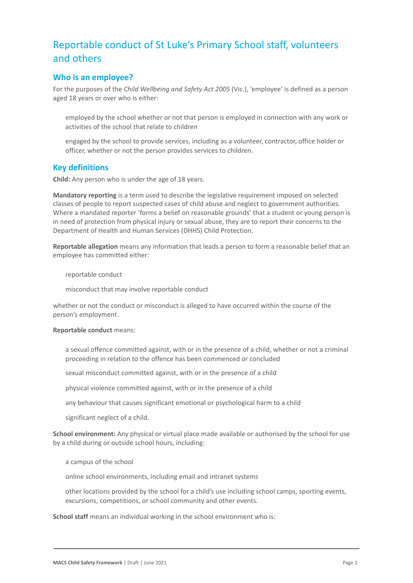## Reportable conduct of St Luke's Primary School staff, volunteers and others

## **Who is an employee?**

For the purposes of the *Child Wellbeing and Safety Act 2005* (Vic.), 'employee' is defined as a person aged 18 years or over who is either:

employed by the school whether or not that person is employed in connection with any work or activities of the school that relate to children

engaged by the school to provide services, including as a volunteer, contractor, office holder or officer, whether or not the person provides services to children.

### **Key definitions**

**Child:** Any person who is under the age of 18 years.

**Mandatory reporting** is a term used to describe the legislative requirement imposed on selected classes of people to report suspected cases of child abuse and neglect to government authorities. Where a mandated reporter 'forms a belief on reasonable grounds' that a student or young person is in need of protection from physical injury or sexual abuse, they are to report their concerns to the Department of Health and Human Services (DHHS) Child Protection.

**Reportable allegation** means any information that leads a person to form a reasonable belief that an employee has committed either:

reportable conduct

misconduct that may involve reportable conduct

whether or not the conduct or misconduct is alleged to have occurred within the course of the person's employment.

#### **Reportable conduct** means:

a sexual offence committed against, with or in the presence of a child, whether or not a criminal proceeding in relation to the offence has been commenced or concluded

sexual misconduct committed against, with or in the presence of a child

physical violence committed against, with or in the presence of a child

any behaviour that causes significant emotional or psychological harm to a child

significant neglect of a child.

**School environment:** Any physical or virtual place made available or authorised by the school for use by a child during or outside school hours, including:

a campus of the school

online school environments, including email and intranet systems

other locations provided by the school for a child's use including school camps, sporting events, excursions, competitions, or school community and other events.

**School staff** means an individual working in the school environment who is: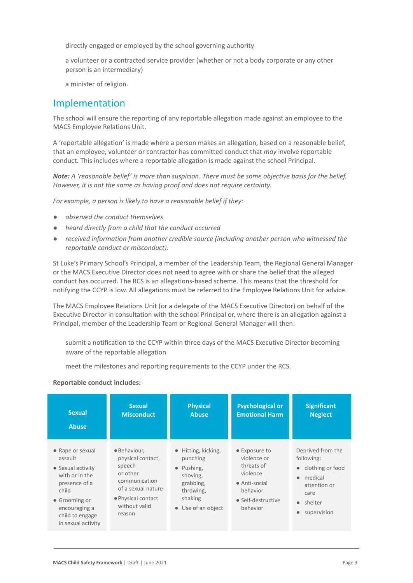directly engaged or employed by the school governing authority

a volunteer or a contracted service provider (whether or not a body corporate or any other person is an intermediary)

a minister of religion.

## Implementation

The school will ensure the reporting of any reportable allegation made against an employee to the MACS Employee Relations Unit.

A 'reportable allegation' is made where a person makes an allegation, based on a reasonable belief, that an employee, volunteer or contractor has committed conduct that *may* involve reportable conduct. This includes where a reportable allegation is made against the school Principal.

*Note: A 'reasonable belief' is more than suspicion. There must be some objective basis for the belief. However, it is not the same as having proof and does not require certainty.*

*For example, a person is likely to have a reasonable belief if they:*

- *● observed the conduct themselves*
- *● heard directly from a child that the conduct occurred*
- *● received information from another credible source (including another person who witnessed the reportable conduct or misconduct).*

St Luke's Primary School's Principal, a member of the Leadership Team, the Regional General Manager or the MACS Executive Director does not need to agree with or share the belief that the alleged conduct has occurred. The RCS is an allegations-based scheme. This means that the threshold for notifying the CCYP is low. All allegations must be referred to the Employee Relations Unit for advice.

The MACS Employee Relations Unit (or a delegate of the MACS Executive Director) on behalf of the Executive Director in consultation with the school Principal or, where there is an allegation against a Principal, member of the Leadership Team or Regional General Manager will then:

submit a notification to the CCYP within three days of the MACS Executive Director becoming aware of the reportable allegation

meet the milestones and reporting requirements to the CCYP under the RCS.

#### **Reportable conduct includes:**

| <b>Sexual</b>                                                                                                                                                           | <b>Sexual</b>                                                                                                                                   | <b>Physical</b>                                                                                                                         | <b>Psychological or</b>                                                                                               | <b>Significant</b>                                                                                                                        |
|-------------------------------------------------------------------------------------------------------------------------------------------------------------------------|-------------------------------------------------------------------------------------------------------------------------------------------------|-----------------------------------------------------------------------------------------------------------------------------------------|-----------------------------------------------------------------------------------------------------------------------|-------------------------------------------------------------------------------------------------------------------------------------------|
| <b>Abuse</b>                                                                                                                                                            | <b>Misconduct</b>                                                                                                                               | <b>Abuse</b>                                                                                                                            | <b>Emotional Harm</b>                                                                                                 | <b>Neglect</b>                                                                                                                            |
| • Rape or sexual<br>assault<br>• Sexual activity<br>with or in the<br>presence of a<br>child<br>• Grooming or<br>encouraging a<br>child to engage<br>in sexual activity | · Behaviour,<br>physical contact,<br>speech<br>or other<br>communication<br>of a sexual nature<br>• Physical contact<br>without valid<br>reason | $\bullet$ Hitting, kicking,<br>punching<br>Pushing,<br>$\bullet$<br>shoving,<br>grabbing,<br>throwing,<br>shaking<br>• Use of an object | • Exposure to<br>violence or<br>threats of<br>violence<br>• Anti-social<br>behavior<br>• Self-destructive<br>behavior | Deprived from the<br>following:<br>• clothing or food<br>medical<br>$\bullet$<br>attention or<br>care<br>$\bullet$ shelter<br>supervision |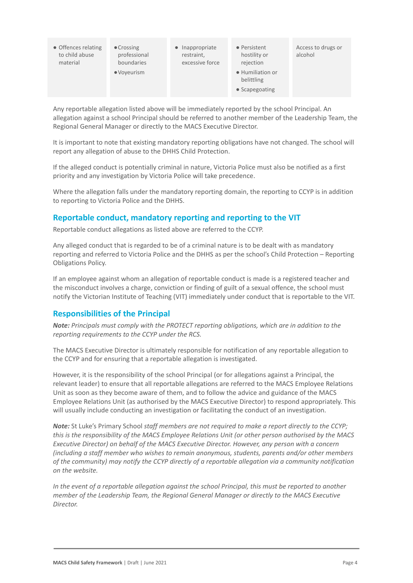| • Offences relating<br>to child abuse<br>material | $\bullet$ Crossing<br>professional<br>boundaries | $\bullet$ Inappropriate<br>restraint,<br>excessive force | • Persistent<br>hostility or<br>rejection                | Access to drugs or<br>alcohol |
|---------------------------------------------------|--------------------------------------------------|----------------------------------------------------------|----------------------------------------------------------|-------------------------------|
|                                                   | • Voyeurism                                      |                                                          | · Humiliation or<br>belittling<br>$\bullet$ Scapegoating |                               |

Any reportable allegation listed above will be immediately reported by the school Principal. An allegation against a school Principal should be referred to another member of the Leadership Team, the Regional General Manager or directly to the MACS Executive Director.

It is important to note that existing mandatory reporting obligations have not changed. The school will report any allegation of abuse to the DHHS Child Protection.

If the alleged conduct is potentially criminal in nature, Victoria Police must also be notified as a first priority and any investigation by Victoria Police will take precedence.

Where the allegation falls under the mandatory reporting domain, the reporting to CCYP is in addition to reporting to Victoria Police and the DHHS.

### **Reportable conduct, mandatory reporting and reporting to the VIT**

Reportable conduct allegations as listed above are referred to the CCYP.

Any alleged conduct that is regarded to be of a criminal nature is to be dealt with as mandatory reporting and referred to Victoria Police and the DHHS as per the school's Child Protection – Reporting Obligations Policy.

If an employee against whom an allegation of reportable conduct is made is a registered teacher and the misconduct involves a charge, conviction or finding of guilt of a sexual offence, the school must notify the Victorian Institute of Teaching (VIT) immediately under conduct that is reportable to the VIT.

### **Responsibilities of the Principal**

*Note: Principals must comply with the PROTECT reporting obligations, which are in addition to the reporting requirements to the CCYP under the RCS.*

The MACS Executive Director is ultimately responsible for notification of any reportable allegation to the CCYP and for ensuring that a reportable allegation is investigated.

However, it is the responsibility of the school Principal (or for allegations against a Principal, the relevant leader) to ensure that all reportable allegations are referred to the MACS Employee Relations Unit as soon as they become aware of them, and to follow the advice and guidance of the MACS Employee Relations Unit (as authorised by the MACS Executive Director) to respond appropriately. This will usually include conducting an investigation or facilitating the conduct of an investigation.

*Note:* St Luke's Primary School *staff members are not required to make a report directly to the CCYP; this is the responsibility of the MACS Employee Relations Unit (or other person authorised by the MACS Executive Director) on behalf of the MACS Executive Director. However, any person with a concern (including a staff member who wishes to remain anonymous, students, parents and/or other members of the community) may notify the CCYP directly of a reportable allegation via a community notification on the website.*

*In the event of a reportable allegation against the school Principal, this must be reported to another member of the Leadership Team, the Regional General Manager or directly to the MACS Executive Director.*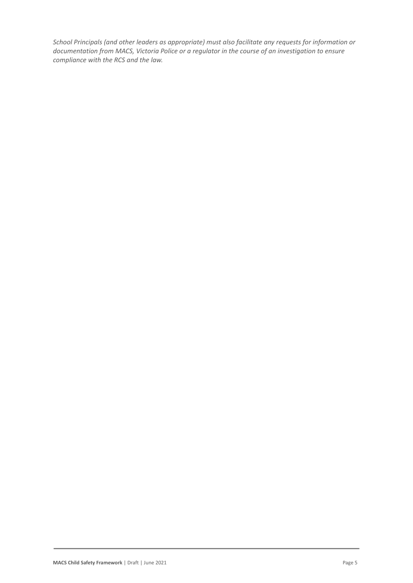*School Principals (and other leaders as appropriate) must also facilitate any requests for information or documentation from MACS, Victoria Police or a regulator in the course of an investigation to ensure compliance with the RCS and the law.*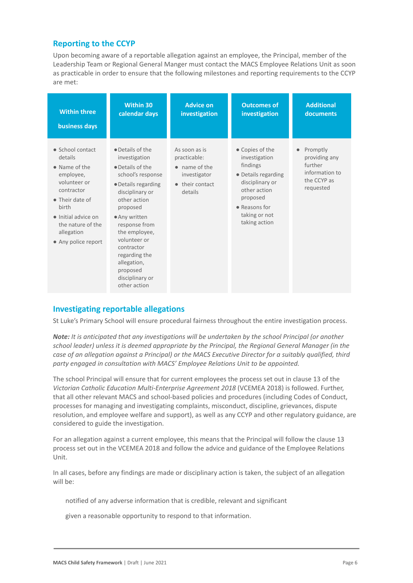## **Reporting to the CCYP**

Upon becoming aware of a reportable allegation against an employee, the Principal, member of the Leadership Team or Regional General Manger must contact the MACS Employee Relations Unit as soon as practicable in order to ensure that the following milestones and reporting requirements to the CCYP are met:

| <b>Within three</b>                                                                                                                                                                                  | <b>Within 30</b>                                                                                                                                                                                                                                                                                                         | <b>Advice on</b>                                                                                                | <b>Outcomes of</b>                                                                                                                                                    | <b>Additional</b>                                                                               |
|------------------------------------------------------------------------------------------------------------------------------------------------------------------------------------------------------|--------------------------------------------------------------------------------------------------------------------------------------------------------------------------------------------------------------------------------------------------------------------------------------------------------------------------|-----------------------------------------------------------------------------------------------------------------|-----------------------------------------------------------------------------------------------------------------------------------------------------------------------|-------------------------------------------------------------------------------------------------|
| <b>business days</b>                                                                                                                                                                                 | calendar days                                                                                                                                                                                                                                                                                                            | investigation                                                                                                   | investigation                                                                                                                                                         | documents                                                                                       |
| • School contact<br>details<br>• Name of the<br>employee,<br>volunteer or<br>contractor<br>• Their date of<br>birth<br>• Initial advice on<br>the nature of the<br>allegation<br>• Any police report | $\bullet$ Details of the<br>investigation<br>• Details of the<br>school's response<br>• Details regarding<br>disciplinary or<br>other action<br>proposed<br>• Any written<br>response from<br>the employee,<br>volunteer or<br>contractor<br>regarding the<br>allegation,<br>proposed<br>disciplinary or<br>other action | As soon as is<br>practicable:<br>$\bullet$ name of the<br>investigator<br>their contact<br>$\bullet$<br>details | • Copies of the<br>investigation<br>findings<br>• Details regarding<br>disciplinary or<br>other action<br>proposed<br>• Reasons for<br>taking or not<br>taking action | Promptly<br>$\bullet$<br>providing any<br>further<br>information to<br>the CCYP as<br>requested |

## **Investigating reportable allegations**

St Luke's Primary School will ensure procedural fairness throughout the entire investigation process.

*Note: It is anticipated that any investigations will be undertaken by the school Principal (or another school leader) unless it is deemed appropriate by the Principal, the Regional General Manager (in the case of an allegation against a Principal) or the MACS Executive Director for a suitably qualified, third party engaged in consultation with MACS' Employee Relations Unit to be appointed.*

The school Principal will ensure that for current employees the process set out in clause 13 of the *Victorian Catholic Education Multi-Enterprise Agreement 2018* (VCEMEA 2018) is followed. Further, that all other relevant MACS and school-based policies and procedures (including Codes of Conduct, processes for managing and investigating complaints, misconduct, discipline, grievances, dispute resolution, and employee welfare and support), as well as any CCYP and other regulatory guidance, are considered to guide the investigation.

For an allegation against a current employee, this means that the Principal will follow the clause 13 process set out in the VCEMEA 2018 and follow the advice and guidance of the Employee Relations Unit.

In all cases, before any findings are made or disciplinary action is taken, the subject of an allegation will be:

notified of any adverse information that is credible, relevant and significant

given a reasonable opportunity to respond to that information.